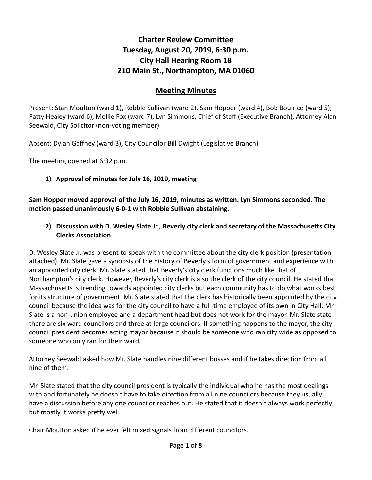# **Charter Review Committee Tuesday, August 20, 2019, 6:30 p.m. City Hall Hearing Room 18 210 Main St., Northampton, MA 01060**

### **Meeting Minutes**

Present: Stan Moulton (ward 1), Robbie Sullivan (ward 2), Sam Hopper (ward 4), Bob Boulrice (ward 5), Patty Healey (ward 6), Mollie Fox (ward 7), Lyn Simmons, Chief of Staff (Executive Branch), Attorney Alan Seewald, City Solicitor (non-voting member)

Absent: Dylan Gaffney (ward 3), City Councilor Bill Dwight (Legislative Branch)

The meeting opened at 6:32 p.m.

#### **1) Approval of minutes for July 16, 2019, meeting**

**Sam Hopper moved approval of the July 16, 2019, minutes as written. Lyn Simmons seconded. The motion passed unanimously 6-0-1 with Robbie Sullivan abstaining.**

### **2) Discussion with D. Wesley Slate Jr., Beverly city clerk and secretary of the Massachusetts City Clerks Association**

D. Wesley Slate Jr. was present to speak with the committee about the city clerk position (presentation attached). Mr. Slate gave a synopsis of the history of Beverly's form of government and experience with an appointed city clerk. Mr. Slate stated that Beverly's city clerk functions much like that of Northampton's city clerk. However, Beverly's city clerk is also the clerk of the city council. He stated that Massachusetts is trending towards appointed city clerks but each community has to do what works best for its structure of government. Mr. Slate stated that the clerk has historically been appointed by the city council because the idea was for the city council to have a full-time employee of its own in City Hall. Mr. Slate is a non-union employee and a department head but does not work for the mayor. Mr. Slate state there are six ward councilors and three at-large councilors. If something happens to the mayor, the city council president becomes acting mayor because it should be someone who ran city wide as opposed to someone who only ran for their ward.

Attorney Seewald asked how Mr. Slate handles nine different bosses and if he takes direction from all nine of them.

Mr. Slate stated that the city council president is typically the individual who he has the most dealings with and fortunately he doesn't have to take direction from all nine councilors because they usually have a discussion before any one councilor reaches out. He stated that it doesn't always work perfectly but mostly it works pretty well.

Chair Moulton asked if he ever felt mixed signals from different councilors.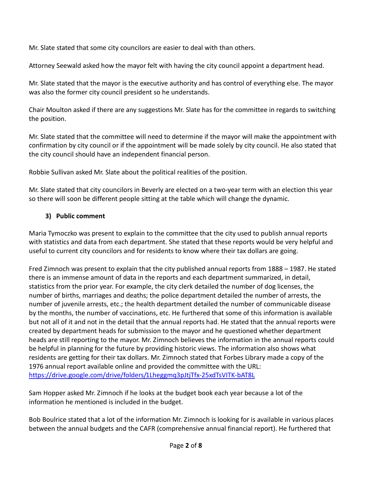Mr. Slate stated that some city councilors are easier to deal with than others.

Attorney Seewald asked how the mayor felt with having the city council appoint a department head.

Mr. Slate stated that the mayor is the executive authority and has control of everything else. The mayor was also the former city council president so he understands.

Chair Moulton asked if there are any suggestions Mr. Slate has for the committee in regards to switching the position.

Mr. Slate stated that the committee will need to determine if the mayor will make the appointment with confirmation by city council or if the appointment will be made solely by city council. He also stated that the city council should have an independent financial person.

Robbie Sullivan asked Mr. Slate about the political realities of the position.

Mr. Slate stated that city councilors in Beverly are elected on a two-year term with an election this year so there will soon be different people sitting at the table which will change the dynamic.

### **3) Public comment**

Maria Tymoczko was present to explain to the committee that the city used to publish annual reports with statistics and data from each department. She stated that these reports would be very helpful and useful to current city councilors and for residents to know where their tax dollars are going.

Fred Zimnoch was present to explain that the city published annual reports from 1888 – 1987. He stated there is an immense amount of data in the reports and each department summarized, in detail, statistics from the prior year. For example, the city clerk detailed the number of dog licenses, the number of births, marriages and deaths; the police department detailed the number of arrests, the number of juvenile arrests, etc.; the health department detailed the number of communicable disease by the months, the number of vaccinations, etc. He furthered that some of this information is available but not all of it and not in the detail that the annual reports had. He stated that the annual reports were created by department heads for submission to the mayor and he questioned whether department heads are still reporting to the mayor. Mr. Zimnoch believes the information in the annual reports could be helpful in planning for the future by providing historic views. The information also shows what residents are getting for their tax dollars. Mr. Zimnoch stated that Forbes Library made a copy of the 1976 annual report available online and provided the committee with the URL: <https://drive.google.com/drive/folders/1Lheggmq3pJtjTfx-25xdTsVITK-bAT8L>

Sam Hopper asked Mr. Zimnoch if he looks at the budget book each year because a lot of the information he mentioned is included in the budget.

Bob Boulrice stated that a lot of the information Mr. Zimnoch is looking for is available in various places between the annual budgets and the CAFR (comprehensive annual financial report). He furthered that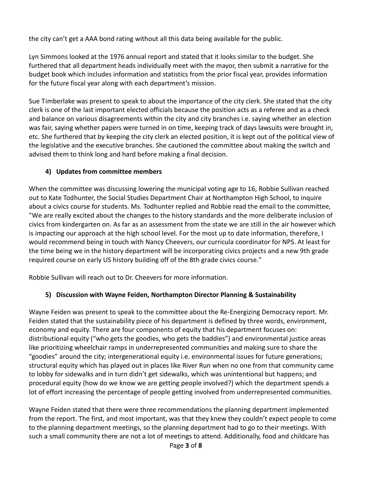the city can't get a AAA bond rating without all this data being available for the public.

Lyn Simmons looked at the 1976 annual report and stated that it looks similar to the budget. She furthered that all department heads individually meet with the mayor, then submit a narrative for the budget book which includes information and statistics from the prior fiscal year, provides information for the future fiscal year along with each department's mission.

Sue Timberlake was present to speak to about the importance of the city clerk. She stated that the city clerk is one of the last important elected officials because the position acts as a referee and as a check and balance on various disagreements within the city and city branches i.e. saying whether an election was fair, saying whether papers were turned in on time, keeping track of days lawsuits were brought in, etc. She furthered that by keeping the city clerk an elected position, it is kept out of the political view of the legislative and the executive branches. She cautioned the committee about making the switch and advised them to think long and hard before making a final decision.

### **4) Updates from committee members**

When the committee was discussing lowering the municipal voting age to 16, Robbie Sullivan reached out to Kate Todhunter, the Social Studies Department Chair at Northampton High School, to inquire about a civics course for students. Ms. Todhunter replied and Robbie read the email to the committee, "We are really excited about the changes to the history standards and the more deliberate inclusion of civics from kindergarten on. As far as an assessment from the state we are still in the air however which is impacting our approach at the high school level. For the most up to date information, therefore, I would recommend being in touch with Nancy Cheevers, our curricula coordinator for NPS. At least for the time being we in the history department will be incorporating civics projects and a new 9th grade required course on early US history building off of the 8th grade civics course."

Robbie Sullivan will reach out to Dr. Cheevers for more information.

## **5) Discussion with Wayne Feiden, Northampton Director Planning & Sustainability**

Wayne Feiden was present to speak to the committee about the Re-Energizing Democracy report. Mr. Feiden stated that the sustainability piece of his department is defined by three words, environment, economy and equity. There are four components of equity that his department focuses on: distributional equity ("who gets the goodies, who gets the baddies") and environmental justice areas like prioritizing wheelchair ramps in underrepresented communities and making sure to share the "goodies" around the city; intergenerational equity i.e. environmental issues for future generations; structural equity which has played out in places like River Run when no one from that community came to lobby for sidewalks and in turn didn't get sidewalks, which was unintentional but happens; and procedural equity (how do we know we are getting people involved?) which the department spends a lot of effort increasing the percentage of people getting involved from underrepresented communities.

Wayne Feiden stated that there were three recommendations the planning department implemented from the report. The first, and most important, was that they knew they couldn't expect people to come to the planning department meetings, so the planning department had to go to their meetings. With such a small community there are not a lot of meetings to attend. Additionally, food and childcare has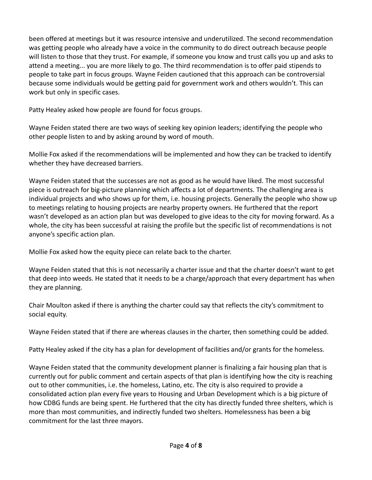been offered at meetings but it was resource intensive and underutilized. The second recommendation was getting people who already have a voice in the community to do direct outreach because people will listen to those that they trust. For example, if someone you know and trust calls you up and asks to attend a meeting... you are more likely to go. The third recommendation is to offer paid stipends to people to take part in focus groups. Wayne Feiden cautioned that this approach can be controversial because some individuals would be getting paid for government work and others wouldn't. This can work but only in specific cases.

Patty Healey asked how people are found for focus groups.

Wayne Feiden stated there are two ways of seeking key opinion leaders; identifying the people who other people listen to and by asking around by word of mouth.

Mollie Fox asked if the recommendations will be implemented and how they can be tracked to identify whether they have decreased barriers.

Wayne Feiden stated that the successes are not as good as he would have liked. The most successful piece is outreach for big-picture planning which affects a lot of departments. The challenging area is individual projects and who shows up for them, i.e. housing projects. Generally the people who show up to meetings relating to housing projects are nearby property owners. He furthered that the report wasn't developed as an action plan but was developed to give ideas to the city for moving forward. As a whole, the city has been successful at raising the profile but the specific list of recommendations is not anyone's specific action plan.

Mollie Fox asked how the equity piece can relate back to the charter.

Wayne Feiden stated that this is not necessarily a charter issue and that the charter doesn't want to get that deep into weeds. He stated that it needs to be a charge/approach that every department has when they are planning.

Chair Moulton asked if there is anything the charter could say that reflects the city's commitment to social equity.

Wayne Feiden stated that if there are whereas clauses in the charter, then something could be added.

Patty Healey asked if the city has a plan for development of facilities and/or grants for the homeless.

Wayne Feiden stated that the community development planner is finalizing a fair housing plan that is currently out for public comment and certain aspects of that plan is identifying how the city is reaching out to other communities, i.e. the homeless, Latino, etc. The city is also required to provide a consolidated action plan every five years to Housing and Urban Development which is a big picture of how CDBG funds are being spent. He furthered that the city has directly funded three shelters, which is more than most communities, and indirectly funded two shelters. Homelessness has been a big commitment for the last three mayors.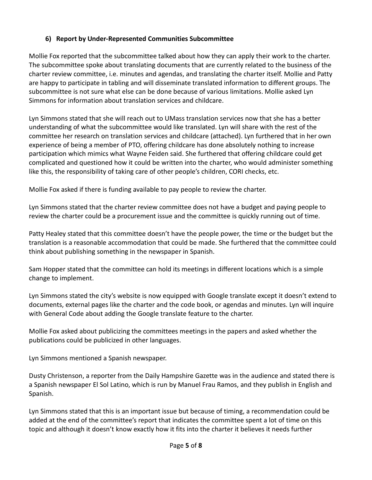### **6) Report by Under-Represented Communities Subcommittee**

Mollie Fox reported that the subcommittee talked about how they can apply their work to the charter. The subcommittee spoke about translating documents that are currently related to the business of the charter review committee, i.e. minutes and agendas, and translating the charter itself. Mollie and Patty are happy to participate in tabling and will disseminate translated information to different groups. The subcommittee is not sure what else can be done because of various limitations. Mollie asked Lyn Simmons for information about translation services and childcare.

Lyn Simmons stated that she will reach out to UMass translation services now that she has a better understanding of what the subcommittee would like translated. Lyn will share with the rest of the committee her research on translation services and childcare (attached). Lyn furthered that in her own experience of being a member of PTO, offering childcare has done absolutely nothing to increase participation which mimics what Wayne Feiden said. She furthered that offering childcare could get complicated and questioned how it could be written into the charter, who would administer something like this, the responsibility of taking care of other people's children, CORI checks, etc.

Mollie Fox asked if there is funding available to pay people to review the charter.

Lyn Simmons stated that the charter review committee does not have a budget and paying people to review the charter could be a procurement issue and the committee is quickly running out of time.

Patty Healey stated that this committee doesn't have the people power, the time or the budget but the translation is a reasonable accommodation that could be made. She furthered that the committee could think about publishing something in the newspaper in Spanish.

Sam Hopper stated that the committee can hold its meetings in different locations which is a simple change to implement.

Lyn Simmons stated the city's website is now equipped with Google translate except it doesn't extend to documents, external pages like the charter and the code book, or agendas and minutes. Lyn will inquire with General Code about adding the Google translate feature to the charter.

Mollie Fox asked about publicizing the committees meetings in the papers and asked whether the publications could be publicized in other languages.

Lyn Simmons mentioned a Spanish newspaper.

Dusty Christenson, a reporter from the Daily Hampshire Gazette was in the audience and stated there is a Spanish newspaper El Sol Latino, which is run by Manuel Frau Ramos, and they publish in English and Spanish.

Lyn Simmons stated that this is an important issue but because of timing, a recommendation could be added at the end of the committee's report that indicates the committee spent a lot of time on this topic and although it doesn't know exactly how it fits into the charter it believes it needs further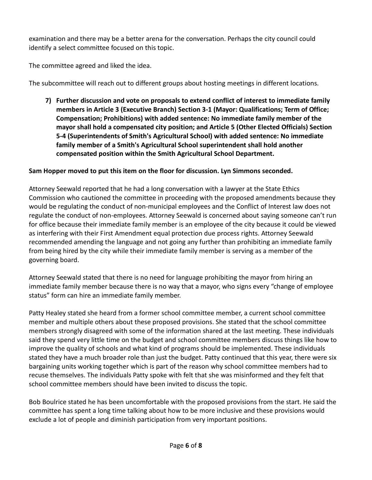examination and there may be a better arena for the conversation. Perhaps the city council could identify a select committee focused on this topic.

The committee agreed and liked the idea.

The subcommittee will reach out to different groups about hosting meetings in different locations.

**7) Further discussion and vote on proposals to extend conflict of interest to immediate family members in Article 3 (Executive Branch) Section 3-1 (Mayor: Qualifications; Term of Office; Compensation; Prohibitions) with added sentence: No immediate family member of the mayor shall hold a compensated city position; and Article 5 (Other Elected Officials) Section 5-4 (Superintendents of Smith's Agricultural School) with added sentence: No immediate family member of a Smith's Agricultural School superintendent shall hold another compensated position within the Smith Agricultural School Department.**

### **Sam Hopper moved to put this item on the floor for discussion. Lyn Simmons seconded.**

Attorney Seewald reported that he had a long conversation with a lawyer at the State Ethics Commission who cautioned the committee in proceeding with the proposed amendments because they would be regulating the conduct of non-municipal employees and the Conflict of Interest law does not regulate the conduct of non-employees. Attorney Seewald is concerned about saying someone can't run for office because their immediate family member is an employee of the city because it could be viewed as interfering with their First Amendment equal protection due process rights. Attorney Seewald recommended amending the language and not going any further than prohibiting an immediate family from being hired by the city while their immediate family member is serving as a member of the governing board.

Attorney Seewald stated that there is no need for language prohibiting the mayor from hiring an immediate family member because there is no way that a mayor, who signs every "change of employee status" form can hire an immediate family member.

Patty Healey stated she heard from a former school committee member, a current school committee member and multiple others about these proposed provisions. She stated that the school committee members strongly disagreed with some of the information shared at the last meeting. These individuals said they spend very little time on the budget and school committee members discuss things like how to improve the quality of schools and what kind of programs should be implemented. These individuals stated they have a much broader role than just the budget. Patty continued that this year, there were six bargaining units working together which is part of the reason why school committee members had to recuse themselves. The individuals Patty spoke with felt that she was misinformed and they felt that school committee members should have been invited to discuss the topic.

Bob Boulrice stated he has been uncomfortable with the proposed provisions from the start. He said the committee has spent a long time talking about how to be more inclusive and these provisions would exclude a lot of people and diminish participation from very important positions.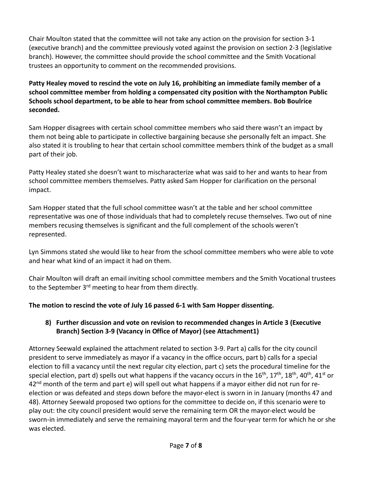Chair Moulton stated that the committee will not take any action on the provision for section 3-1 (executive branch) and the committee previously voted against the provision on section 2-3 (legislative branch). However, the committee should provide the school committee and the Smith Vocational trustees an opportunity to comment on the recommended provisions.

**Patty Healey moved to rescind the vote on July 16, prohibiting an immediate family member of a school committee member from holding a compensated city position with the Northampton Public Schools school department, to be able to hear from school committee members. Bob Boulrice seconded.** 

Sam Hopper disagrees with certain school committee members who said there wasn't an impact by them not being able to participate in collective bargaining because she personally felt an impact. She also stated it is troubling to hear that certain school committee members think of the budget as a small part of their job.

Patty Healey stated she doesn't want to mischaracterize what was said to her and wants to hear from school committee members themselves. Patty asked Sam Hopper for clarification on the personal impact.

Sam Hopper stated that the full school committee wasn't at the table and her school committee representative was one of those individuals that had to completely recuse themselves. Two out of nine members recusing themselves is significant and the full complement of the schools weren't represented.

Lyn Simmons stated she would like to hear from the school committee members who were able to vote and hear what kind of an impact it had on them.

Chair Moulton will draft an email inviting school committee members and the Smith Vocational trustees to the September 3<sup>rd</sup> meeting to hear from them directly.

### **The motion to rescind the vote of July 16 passed 6-1 with Sam Hopper dissenting.**

### **8) Further discussion and vote on revision to recommended changes in Article 3 (Executive Branch) Section 3-9 (Vacancy in Office of Mayor) (see Attachment1)**

Attorney Seewald explained the attachment related to section 3-9. Part a) calls for the city council president to serve immediately as mayor if a vacancy in the office occurs, part b) calls for a special election to fill a vacancy until the next regular city election, part c) sets the procedural timeline for the special election, part d) spells out what happens if the vacancy occurs in the 16<sup>th</sup>, 17<sup>th</sup>, 18<sup>th</sup>, 40<sup>th</sup>, 41<sup>st</sup> or 42<sup>nd</sup> month of the term and part e) will spell out what happens if a mayor either did not run for reelection or was defeated and steps down before the mayor-elect is sworn in in January (months 47 and 48). Attorney Seewald proposed two options for the committee to decide on, if this scenario were to play out: the city council president would serve the remaining term OR the mayor-elect would be sworn-in immediately and serve the remaining mayoral term and the four-year term for which he or she was elected.